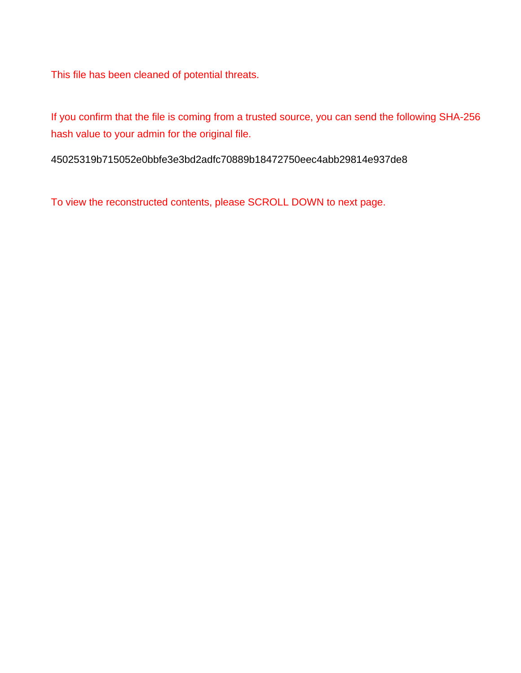This file has been cleaned of potential threats.

If you confirm that the file is coming from a trusted source, you can send the following SHA-256 hash value to your admin for the original file.

45025319b715052e0bbfe3e3bd2adfc70889b18472750eec4abb29814e937de8

To view the reconstructed contents, please SCROLL DOWN to next page.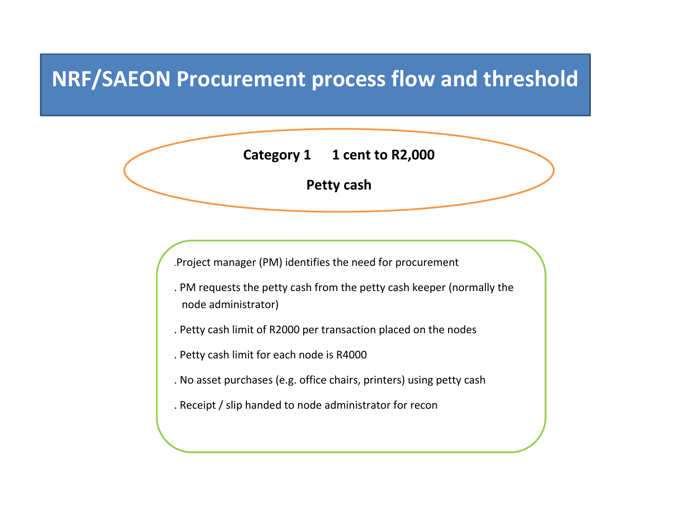# **NRF/SAEON Procurement process flow and threshold**

**Category 1 1 cent to R2,000**

**Petty cash**

.Project manager (PM) identifies the need for procurement

- . PM requests the petty cash from the petty cash keeper (normally the node administrator)
- . Petty cash limit of R2000 per transaction placed on the nodes
- . Petty cash limit for each node is R4000
- . No asset purchases (e.g. office chairs, printers) using petty cash
- . Receipt / slip handed to node administrator for recon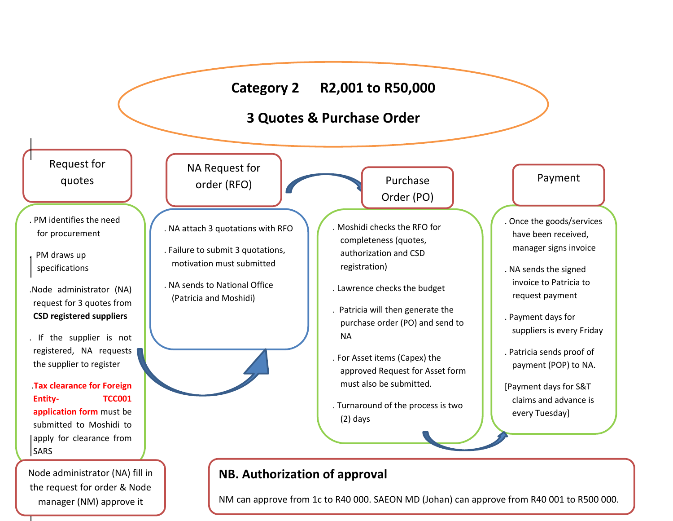## **Category 2 R2,001 to R50,000**

## **3 Quotes & Purchase Order**

 quotes Request for

- . PM identifies the need for procurement
- . PM draws up specifications

L

- .Node administrator (NA) request for 3 quotes from **CSD registered suppliers**
- . If the supplier is not registered, NA requests the supplier to register

.**Tax clearance for Foreign Entity- TCC001 application form** must be submitted to Moshidi to apply for clearance from **SARS** 

Node administrator (NA) fill in the request for order & Node manager (NM) approve it

NA Request for order (RFO)

- . NA attach 3 quotations with RFO
- . Failure to submit 3 quotations, motivation must submitted
- . NA sends to National Office (Patricia and Moshidi)

- 
- 

Purchase Order (PO)

- . Moshidi checks the RFO for completeness (quotes, authorization and CSD er registration)
- . Lawrence checks the budget
- . Patricia will then generate the purchase order (PO) and send to NA
- . For Asset items (Capex) the approved Request for Asset form must also be submitted.
- . Turnaround of the process is two (2) days

#### Payment

. Once the goods/services shee the goods, service the service of manager signs invoice

- . NA sends the signed invoice to Patricia to request payment
- . Payment days for suppliers is every Friday
- . Patricia sends proof of payment (POP) to NA.
- [Payment days for S&T claims and advance is every Tuesday]

.

### **NB. Authorization of approval**

NM can approve from 1c to R40 000. SAEON MD (Johan) can approve from R40 001 to R500 000.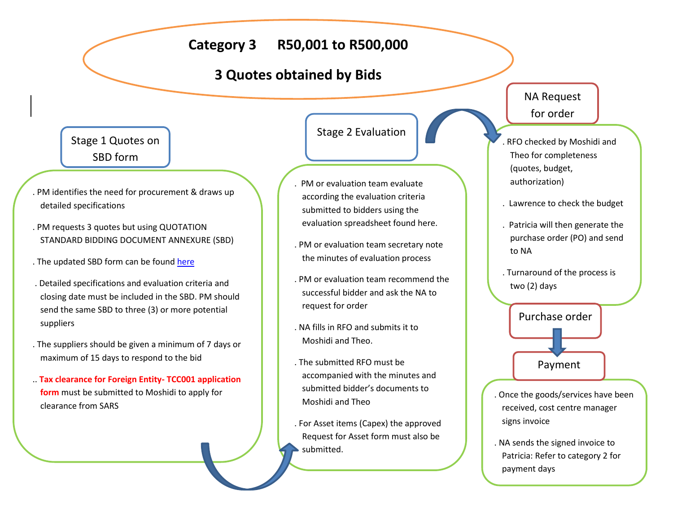### **Category 3 R50,001 to R500,000**

### **3 Quotes obtained by Bids**

#### Stage 1 Quotes on SBD form

- . PM identifies the need for procurement & draws up detailed specifications
- . PM requests 3 quotes but using QUOTATION STANDARD BIDDING DOCUMENT ANNEXURE (SBD)
- . The updated SBD form can be found here
- . Detailed specifications and evaluation criteria and closing date must be included in the SBD. PM should send the same SBD to three (3) or more potential suppliers
- . The suppliers should be given a minimum of 7 days or maximum of 15 days to respond to the bid
- .. **Tax clearance for Foreign Entity- TCC001 application form** must be submitted to Moshidi to apply for clearance from SARS

Stage 2 Evaluation

- . PM or evaluation team evaluate according the evaluation criteria submitted to bidders using the evaluation spreadsheet found here.
- . PM or evaluation team secretary note the minutes of evaluation process
- . PM or evaluation team recommend the successful bidder and ask the NA to request for order
- . NA fills in RFO and submits it to Moshidi and Theo.
- . The submitted RFO must be accompanied with the minutes and submitted bidder's documents to Moshidi and Theo
- . For Asset items (Capex) the approved Request for Asset form must also be submitted.

#### NA Request for order

- er (quotes, budget, . RFO checked by Moshidi and Theo for completeness authorization)
- . Lawrence to check the budget
- . Patricia will then generate the purchase order (PO) and send to NA
- . Turnaround of the process is two (2) days



- . Once the goods/services have been received, cost centre manager<br>signs invoice signs invoice
- . NA sends the signed invoice to Patricia: Refer to category 2 for payment days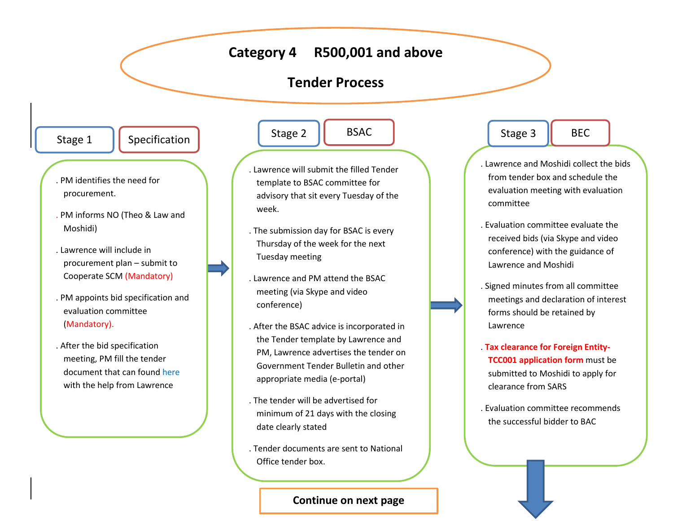### **Category 4 R500,001 and above**

#### **Tender Process**

BSAC

Stage 1

Specification

- procurement. . PM identifies the need for
- . PM informs NO (Theo & Law and Moshidi)
- . Lawrence will include in procurement plan – submit to Cooperate SCM (Mandatory)
- . PM appoints bid specification and evaluation committee (Mandatory).
- . After the bid specification meeting, PM fill the tender document that can found here with the help from Lawrence

Stage 2

- template to BSAC committee for . Lawrence will submit the filled Tender advisory that sit every Tuesday of the week.
- . The submission day for BSAC is every Thursday of the week for the next Tuesday meeting
- . Lawrence and PM attend the BSAC meeting (via Skype and video conference)
- . After the BSAC advice is incorporated in the Tender template by Lawrence and PM, Lawrence advertises the tender on Government Tender Bulletin and other appropriate media (e-portal)
- . The tender will be advertised for minimum of 21 days with the closing date clearly stated
- . Tender documents are sent to National Office tender box.

**Continue on next page**

Stage 3

. Lawrence and Moshidi collect the bids from tender box and schedule the evaluation meeting with evaluation er er committee

BEC

- . Evaluation committee evaluate the received bids (via Skype and video conference) with the guidance of Lawrence and Moshidi
- . Signed minutes from all committee meetings and declaration of interest forms should be retained by Lawrence
- . **Tax clearance for Foreign Entity-TCC001 application form** must be submitted to Moshidi to apply for clearance from SARS
- . Evaluation committee recommends the successful bidder to BAC